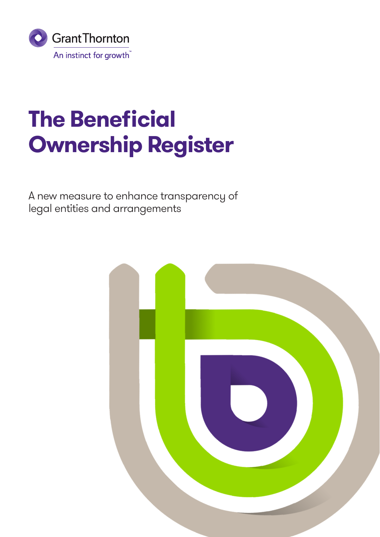

## **The Beneficial Ownership Register**

A new measure to enhance transparency of legal entities and arrangements

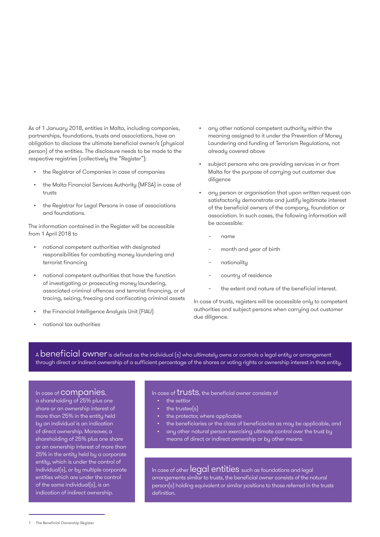As of 1 January 2018, entities in Malta, including companies, partnerships, foundations, trusts and associations, have an obligation to disclose the ultimate beneficial owner/s (physical person) of the entities. The disclosure needs to be made to the respective registries (collectively the "Register"):

- the Registrar of Companies in case of companies
- the Malta Financial Services Authority (MFSA) in case of trusts
- the Registrar for Legal Persons in case of associations and foundations.

The information contained in the Register will be accessible from 1 April 2018 to

- national competent authorities with designated responsibilities for combating money laundering and terrorist financing
- national competent authorities that have the function of investigating or prosecuting money laundering, associated criminal offences and terrorist financing, or of tracing, seizing, freezing and confiscating criminal assets
- the Financial Intelligence Analysis Unit (FIAU)
- national tax authorities
- any other national competent authority within the meaning assigned to it under the Prevention of Money Laundering and funding of Terrorism Regulations, not already covered above
- subject persons who are providing services in or from Malta for the purpose of carrying out customer due diligence
- any person or organisation that upon written request can satisfactorily demonstrate and justify legitimate interest of the beneficial owners of the company, foundation or association. In such cases, the following information will be accessible:
	- − name
	- month and year of birth
	- nationality
	- country of residence
	- the extent and nature of the beneficial interest.

In case of trusts, registers will be accessible only to competent authorities and subject persons when carrying out customer due diligence.

A **beneficial owner** is defined as the individual (s) who ultimately owns or controls a legal entity or arrangement through direct or indirect ownership of a sufficient percentage of the shares or voting rights or ownership interest in that entity.

## In case of companies,

a shareholding of 25% plus one share or an ownership interest of more than 25% in the entity held by an individual is an indication of direct ownership. Moreover, a shareholding of 25% plus one share or an ownership interest of more than 25% in the entity held by a corporate entity, which is under the control of individual(s), or by multiple corporate entities which are under the control of the same individual(s), is an indication of indirect ownership.

In case of *trusts*, the beneficial owner consists of

- the settlor
- the trustee<sup>(s)</sup>
- the protector, where applicable
- the beneficiaries or the class of beneficiaries as may be applicable, and
- any other natural person exercising ultimate control over the trust by means of direct or indirect ownership or by other means.

In case of other legal entities such as foundations and legal arrangements similar to trusts, the beneficial owner consists of the natural person(s) holding equivalent or similar positions to those referred in the trusts definition.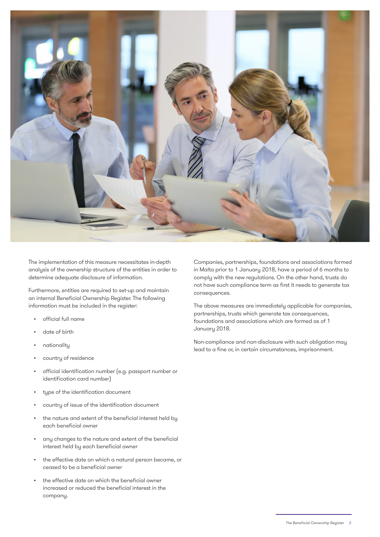

The implementation of this measure necessitates in-depth analysis of the ownership structure of the entities in order to determine adequate disclosure of information.

Furthermore, entities are required to set-up and maintain an internal Beneficial Ownership Register. The following information must be included in the register:

- official full name
- date of birth
- nationality
- country of residence
- official identification number (e.g. passport number or identification card number)
- type of the identification document
- country of issue of the identification document
- the nature and extent of the beneficial interest held by each beneficial owner
- any changes to the nature and extent of the beneficial interest held by each beneficial owner
- the effective date on which a natural person became, or ceased to be a beneficial owner
- the effective date on which the beneficial owner increased or reduced the beneficial interest in the company.

Companies, partnerships, foundations and associations formed in Malta prior to 1 January 2018, have a period of 6 months to comply with the new regulations. On the other hand, trusts do not have such compliance term as first it needs to generate tax consequences.

The above measures are immediately applicable for companies, partnerships, trusts which generate tax consequences, foundations and associations which are formed as of 1 January 2018.

Non-compliance and non-disclosure with such obligation may lead to a fine or, in certain circumstances, imprisonment.